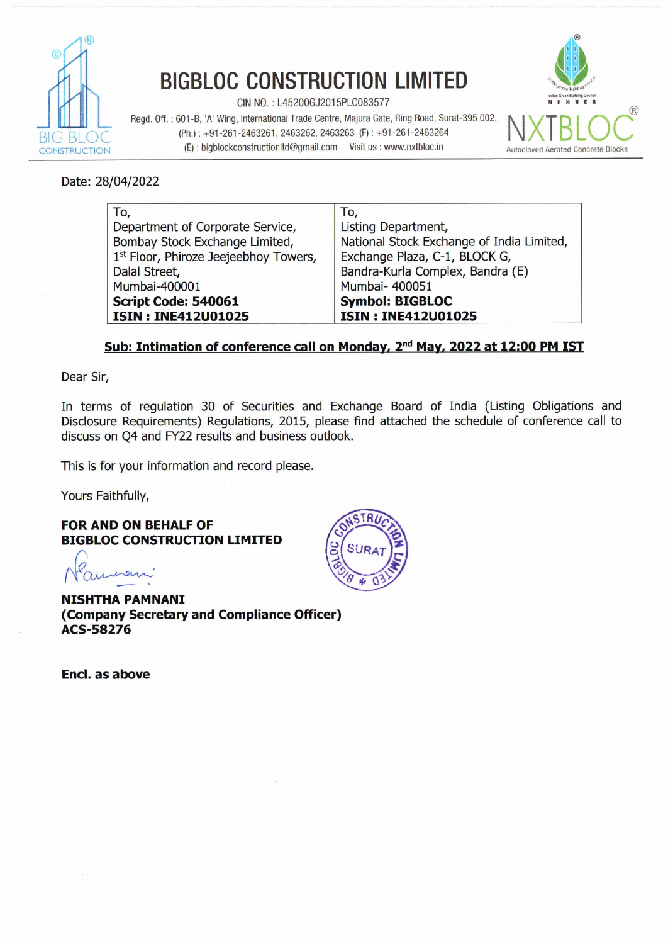

## **BIGBLOC CONSTRUCTION LIMITED**

CIN NO. : L45200GJ2015PLC083577 **MFMBB.** 

Regd. Off. : 601 **-B, 'A'** Wing, International Trade Centre, Majura Gate, Ring Road, Surat-395 002. (Ph.) : +91-261-2463261,2463262,2463263 (F) : +91-261-2463264 (E) : bigblockconstructionItd@gmail.com Visit us : www.nxtbloc.in **Autoclaved Aerated Concrete Blocks** 



Date: 28/04/2022

| To,                                   | To,                                       |
|---------------------------------------|-------------------------------------------|
| Department of Corporate Service,      | Listing Department,                       |
| Bombay Stock Exchange Limited,        | National Stock Exchange of India Limited, |
| 1st Floor, Phiroze Jeejeebhoy Towers, | Exchange Plaza, C-1, BLOCK G,             |
| Dalal Street,                         | Bandra-Kurla Complex, Bandra (E)          |
| Mumbai-400001                         | Mumbai- 400051                            |
| Script Code: 540061                   | <b>Symbol: BIGBLOC</b>                    |
| <b>ISIN: INE412U01025</b>             | <b>ISIN: INE412U01025</b>                 |

## Sub: Intimation of conference call on Monday, 2<sup>nd</sup> May, 2022 at 12:00 PM IST

Dear Sir,

In terms of regulation 30 of Securities and Exchange Board of India (Listing Obligations and Disclosure Requirements) Regulations, 2015, please find attached the schedule of conference call to discuss on Q4 and FY22 results and business outlook.

This is for your information and record please.

Yours Faithfully,

**FOR AND ON BEHALF OF BIGBLOC CONSTRUCTION LIMITED**  For AND ON BEHALF OF<br>FOR AND ON BEHALF OF<br>BIGBLOC CONSTRUCTION LI<br>NISHTHA PAMNANI

**NISHTHA PAMNANI (Company Secretary and Compliance Officer) ACS-58276**